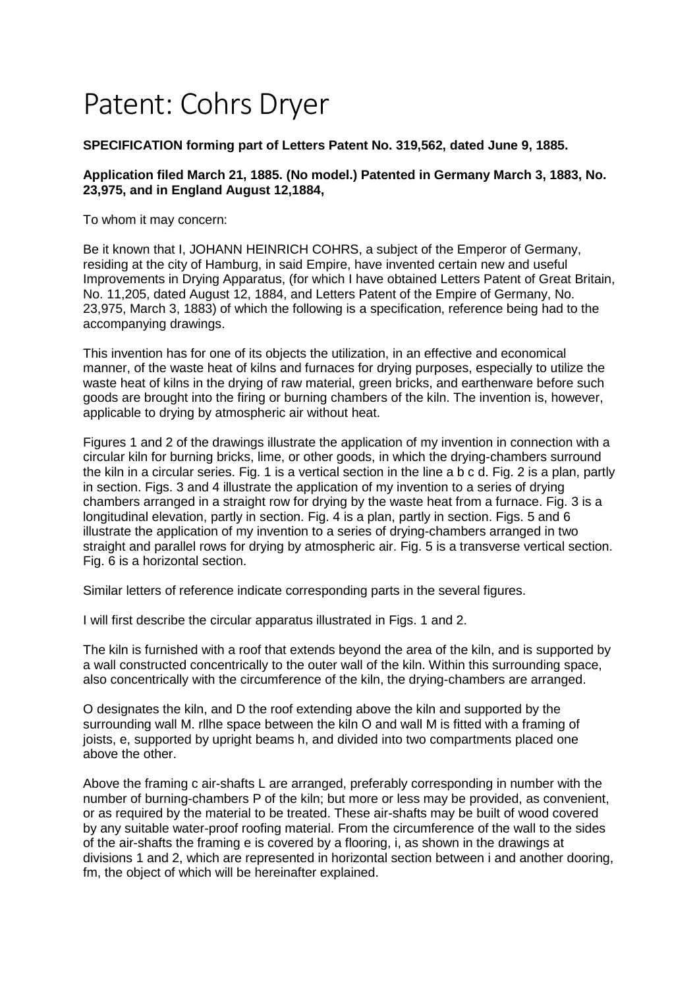## Patent: Cohrs Dryer

## **SPECIFICATION forming part of Letters Patent No. 319,562, dated June 9, 1885.**

## **Application filed March 21, 1885. (No model.) Patented in Germany March 3, 1883, No. 23,975, and in England August 12,1884,**

To whom it may concern:

Be it known that I, JOHANN HEINRICH COHRS, a subject of the Emperor of Germany, residing at the city of Hamburg, in said Empire, have invented certain new and useful Improvements in Drying Apparatus, (for which I have obtained Letters Patent of Great Britain, No. 11,205, dated August 12, 1884, and Letters Patent of the Empire of Germany, No. 23,975, March 3, 1883) of which the following is a specification, reference being had to the accompanying drawings.

This invention has for one of its objects the utilization, in an effective and economical manner, of the waste heat of kilns and furnaces for drying purposes, especially to utilize the waste heat of kilns in the drying of raw material, green bricks, and earthenware before such goods are brought into the firing or burning chambers of the kiln. The invention is, however, applicable to drying by atmospheric air without heat.

Figures 1 and 2 of the drawings illustrate the application of my invention in connection with a circular kiln for burning bricks, lime, or other goods, in which the drying-chambers surround the kiln in a circular series. Fig. 1 is a vertical section in the line a b c d. Fig. 2 is a plan, partly in section. Figs. 3 and 4 illustrate the application of my invention to a series of drying chambers arranged in a straight row for drying by the waste heat from a furnace. Fig. 3 is a longitudinal elevation, partly in section. Fig. 4 is a plan, partly in section. Figs. 5 and 6 illustrate the application of my invention to a series of drying-chambers arranged in two straight and parallel rows for drying by atmospheric air. Fig. 5 is a transverse vertical section. Fig. 6 is a horizontal section.

Similar letters of reference indicate corresponding parts in the several figures.

I will first describe the circular apparatus illustrated in Figs. 1 and 2.

The kiln is furnished with a roof that extends beyond the area of the kiln, and is supported by a wall constructed concentrically to the outer wall of the kiln. Within this surrounding space, also concentrically with the circumference of the kiln, the drying-chambers are arranged.

O designates the kiln, and D the roof extending above the kiln and supported by the surrounding wall M. rllhe space between the kiln O and wall M is fitted with a framing of joists, e, supported by upright beams h, and divided into two compartments placed one above the other.

Above the framing c air-shafts L are arranged, preferably corresponding in number with the number of burning-chambers P of the kiln; but more or less may be provided, as convenient, or as required by the material to be treated. These air-shafts may be built of wood covered by any suitable water-proof roofing material. From the circumference of the wall to the sides of the air-shafts the framing e is covered by a flooring, i, as shown in the drawings at divisions 1 and 2, which are represented in horizontal section between i and another dooring, fm, the object of which will be hereinafter explained.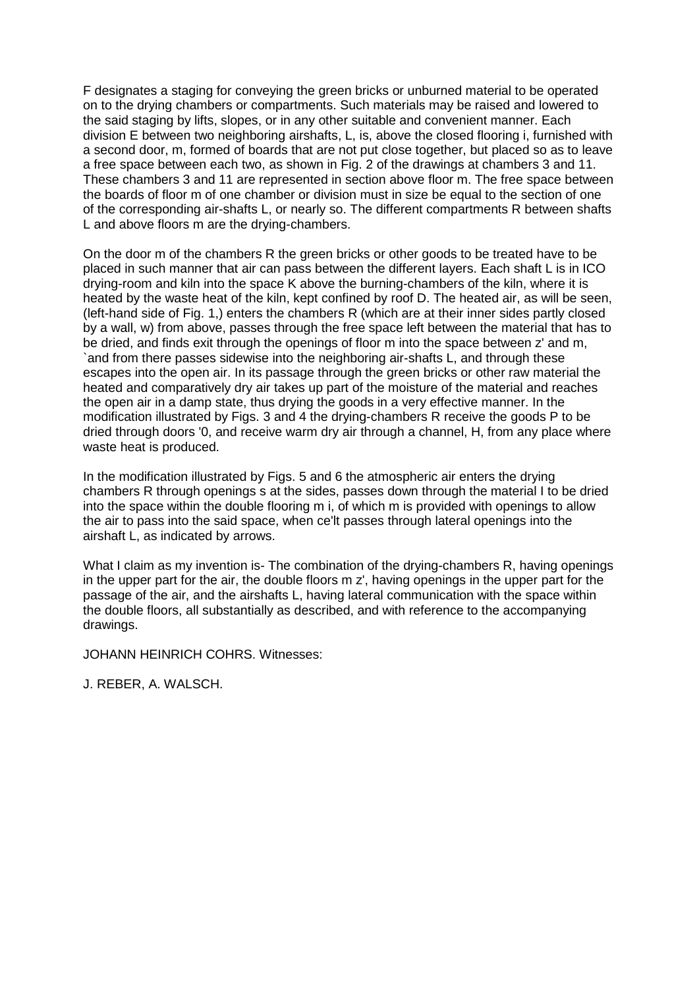F designates a staging for conveying the green bricks or unburned material to be operated on to the drying chambers or compartments. Such materials may be raised and lowered to the said staging by lifts, slopes, or in any other suitable and convenient manner. Each division E between two neighboring airshafts, L, is, above the closed flooring i, furnished with a second door, m, formed of boards that are not put close together, but placed so as to leave a free space between each two, as shown in Fig. 2 of the drawings at chambers 3 and 11. These chambers 3 and 11 are represented in section above floor m. The free space between the boards of floor m of one chamber or division must in size be equal to the section of one of the corresponding air-shafts L, or nearly so. The different compartments R between shafts L and above floors m are the drying-chambers.

On the door m of the chambers R the green bricks or other goods to be treated have to be placed in such manner that air can pass between the different layers. Each shaft L is in ICO drying-room and kiln into the space K above the burning-chambers of the kiln, where it is heated by the waste heat of the kiln, kept confined by roof D. The heated air, as will be seen, (left-hand side of Fig. 1,) enters the chambers R (which are at their inner sides partly closed by a wall, w) from above, passes through the free space left between the material that has to be dried, and finds exit through the openings of floor m into the space between z' and m, `and from there passes sidewise into the neighboring air-shafts L, and through these escapes into the open air. In its passage through the green bricks or other raw material the heated and comparatively dry air takes up part of the moisture of the material and reaches the open air in a damp state, thus drying the goods in a very effective manner. In the modification illustrated by Figs. 3 and 4 the drying-chambers R receive the goods P to be dried through doors '0, and receive warm dry air through a channel, H, from any place where waste heat is produced.

In the modification illustrated by Figs. 5 and 6 the atmospheric air enters the drying chambers R through openings s at the sides, passes down through the material I to be dried into the space within the double flooring m i, of which m is provided with openings to allow the air to pass into the said space, when ce'lt passes through lateral openings into the airshaft L, as indicated by arrows.

What I claim as my invention is- The combination of the drying-chambers R, having openings in the upper part for the air, the double floors m z', having openings in the upper part for the passage of the air, and the airshafts L, having lateral communication with the space within the double floors, all substantially as described, and with reference to the accompanying drawings.

JOHANN HEINRICH COHRS. Witnesses:

J. REBER, A. WALSCH.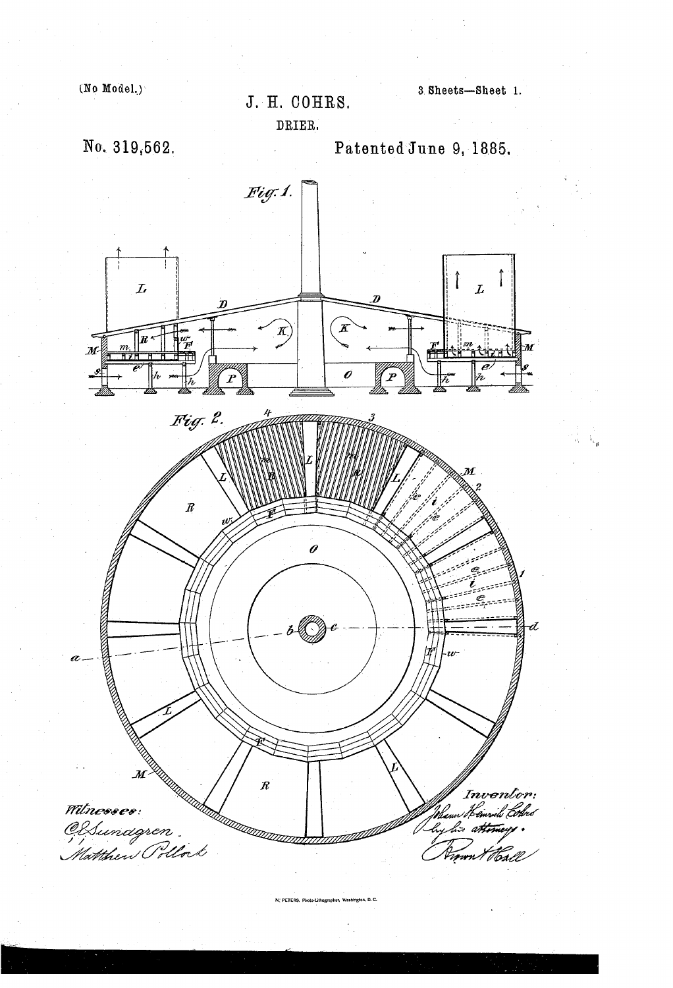$(No Model.)$ 

J. H. COHRS.

DRIER.

No. 319,562.

Patented June 9, 1885.

3 Sheets-Sheet 1.



N. PETERS. Photo-Lithograp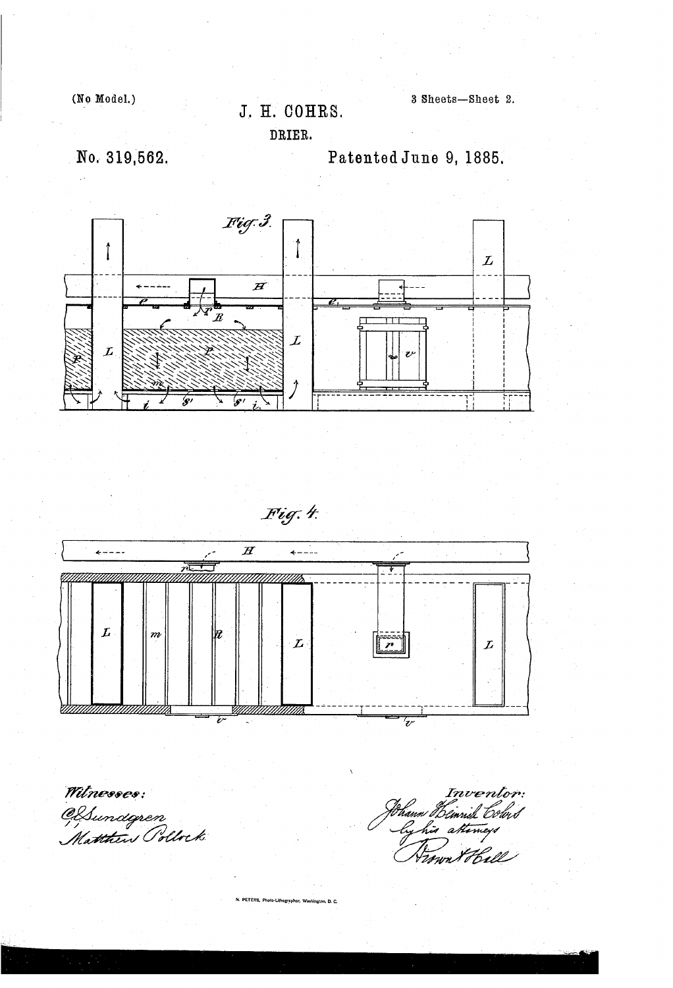(No Model.)

## J. H. COHRS.

3 Sheets-Sheet 2.

DRIER.

No. 319,562.

Patented June 9, 1885.



Fig. 4.



Mtnesses:<br>CSsundgren<br>Matthin Pollock

Inventor: .<br>bann Bemn<br>log hir a*h*t t Schud www. t Hell

PETERS, Photo-Lithographer, Washington, D. C.